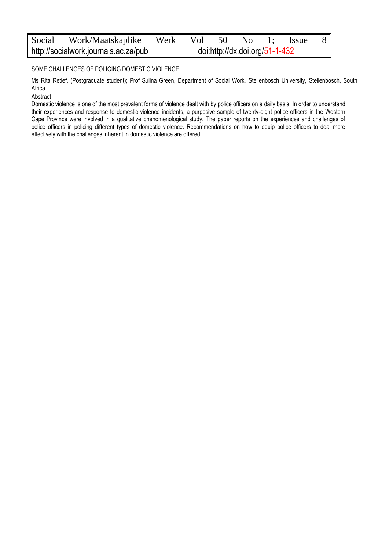| Social                               | Work/Maatskaplike Werk Vol 50 No |                                |  |  |  |  | 1: Issue | - 8 |
|--------------------------------------|----------------------------------|--------------------------------|--|--|--|--|----------|-----|
| http://socialwork.journals.ac.za/pub |                                  | doi:http://dx.doi.org/51-1-432 |  |  |  |  |          |     |

#### SOME CHALLENGES OF POLICING DOMESTIC VIOLENCE

Ms Rita Retief, (Postgraduate student); Prof Sulina Green, Department of Social Work, Stellenbosch University, Stellenbosch, South Africa

**Abstract** 

Domestic violence is one of the most prevalent forms of violence dealt with by police officers on a daily basis. In order to understand their experiences and response to domestic violence incidents, a purposive sample of twenty-eight police officers in the Western Cape Province were involved in a qualitative phenomenological study. The paper reports on the experiences and challenges of police officers in policing different types of domestic violence. Recommendations on how to equip police officers to deal more effectively with the challenges inherent in domestic violence are offered.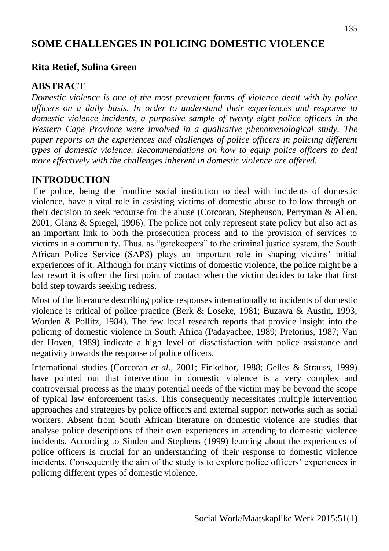# **SOME CHALLENGES IN POLICING DOMESTIC VIOLENCE**

### **Rita Retief, Sulina Green**

#### **ABSTRACT**

*Domestic violence is one of the most prevalent forms of violence dealt with by police officers on a daily basis. In order to understand their experiences and response to domestic violence incidents, a purposive sample of twenty-eight police officers in the Western Cape Province were involved in a qualitative phenomenological study. The paper reports on the experiences and challenges of police officers in policing different types of domestic violence. Recommendations on how to equip police officers to deal more effectively with the challenges inherent in domestic violence are offered.*

### **INTRODUCTION**

The police, being the frontline social institution to deal with incidents of domestic violence, have a vital role in assisting victims of domestic abuse to follow through on their decision to seek recourse for the abuse (Corcoran, Stephenson, Perryman & Allen, 2001; Glanz & Spiegel, 1996). The police not only represent state policy but also act as an important link to both the prosecution process and to the provision of services to victims in a community. Thus, as "gatekeepers" to the criminal justice system, the South African Police Service (SAPS) plays an important role in shaping victims' initial experiences of it. Although for many victims of domestic violence, the police might be a last resort it is often the first point of contact when the victim decides to take that first bold step towards seeking redress.

Most of the literature describing police responses internationally to incidents of domestic violence is critical of police practice (Berk & Loseke, 1981; Buzawa & Austin, 1993; Worden & Pollitz, 1984). The few local research reports that provide insight into the policing of domestic violence in South Africa (Padayachee, 1989; Pretorius, 1987; Van der Hoven, 1989) indicate a high level of dissatisfaction with police assistance and negativity towards the response of police officers.

International studies (Corcoran *et al*., 2001; Finkelhor, 1988; Gelles & Strauss, 1999) have pointed out that intervention in domestic violence is a very complex and controversial process as the many potential needs of the victim may be beyond the scope of typical law enforcement tasks. This consequently necessitates multiple intervention approaches and strategies by police officers and external support networks such as social workers. Absent from South African literature on domestic violence are studies that analyse police descriptions of their own experiences in attending to domestic violence incidents. According to Sinden and Stephens (1999) learning about the experiences of police officers is crucial for an understanding of their response to domestic violence incidents. Consequently the aim of the study is to explore police officers' experiences in policing different types of domestic violence.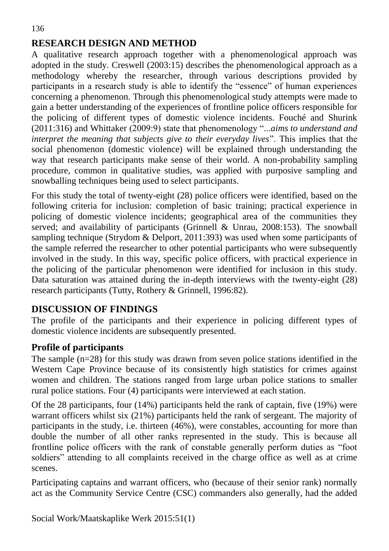# **RESEARCH DESIGN AND METHOD**

A qualitative research approach together with a phenomenological approach was adopted in the study. Creswell (2003:15) describes the phenomenological approach as a methodology whereby the researcher, through various descriptions provided by participants in a research study is able to identify the "essence" of human experiences concerning a phenomenon. Through this phenomenological study attempts were made to gain a better understanding of the experiences of frontline police officers responsible for the policing of different types of domestic violence incidents. Fouché and Shurink (2011:316) and Whittaker (2009:9) state that phenomenology "...*aims to understand and interpret the meaning that subjects give to their everyday lives*". This implies that the social phenomenon (domestic violence) will be explained through understanding the way that research participants make sense of their world. A non-probability sampling procedure, common in qualitative studies, was applied with purposive sampling and snowballing techniques being used to select participants.

For this study the total of twenty-eight (28) police officers were identified, based on the following criteria for inclusion: completion of basic training; practical experience in policing of domestic violence incidents; geographical area of the communities they served; and availability of participants (Grinnell & Unrau, 2008:153). The snowball sampling technique (Strydom & Delport, 2011:393) was used when some participants of the sample referred the researcher to other potential participants who were subsequently involved in the study. In this way, specific police officers, with practical experience in the policing of the particular phenomenon were identified for inclusion in this study. Data saturation was attained during the in-depth interviews with the twenty-eight (28) research participants (Tutty, Rothery & Grinnell, 1996:82).

# **DISCUSSION OF FINDINGS**

The profile of the participants and their experience in policing different types of domestic violence incidents are subsequently presented.

### **Profile of participants**

The sample (n=28) for this study was drawn from seven police stations identified in the Western Cape Province because of its consistently high statistics for crimes against women and children. The stations ranged from large urban police stations to smaller rural police stations. Four (4) participants were interviewed at each station.

Of the 28 participants, four (14%) participants held the rank of captain, five (19%) were warrant officers whilst six (21%) participants held the rank of sergeant. The majority of participants in the study, i.e. thirteen (46%), were constables, accounting for more than double the number of all other ranks represented in the study. This is because all frontline police officers with the rank of constable generally perform duties as "foot soldiers" attending to all complaints received in the charge office as well as at crime scenes.

Participating captains and warrant officers, who (because of their senior rank) normally act as the Community Service Centre (CSC) commanders also generally, had the added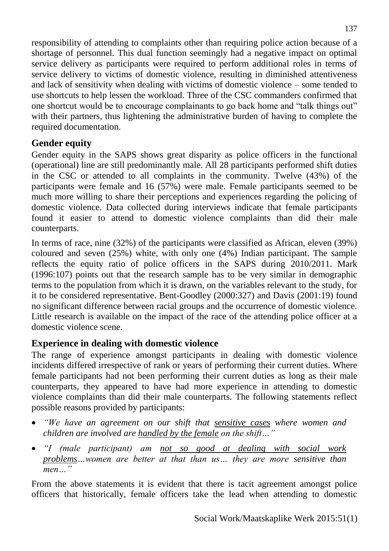responsibility of attending to complaints other than requiring police action because of a shortage of personnel. This dual function seemingly had a negative impact on optimal service delivery as participants were required to perform additional roles in terms of service delivery to victims of domestic violence, resulting in diminished attentiveness and lack of sensitivity when dealing with victims of domestic violence – some tended to use shortcuts to help lessen the workload. Three of the CSC commanders confirmed that one shortcut would be to encourage complainants to go back home and "talk things out" with their partners, thus lightening the administrative burden of having to complete the required documentation.

# **Gender equity**

Gender equity in the SAPS shows great disparity as police officers in the functional (operational) line are still predominantly male. All 28 participants performed shift duties in the CSC or attended to all complaints in the community. Twelve (43%) of the participants were female and 16 (57%) were male. Female participants seemed to be much more willing to share their perceptions and experiences regarding the policing of domestic violence. Data collected during interviews indicate that female participants found it easier to attend to domestic violence complaints than did their male counterparts.

In terms of race, nine (32%) of the participants were classified as African, eleven (39%) coloured and seven (25%) white, with only one (4%) Indian participant. The sample reflects the equity ratio of police officers in the SAPS during 2010/2011. Mark (1996:107) points out that the research sample has to be very similar in demographic terms to the population from which it is drawn, on the variables relevant to the study, for it to be considered representative. Bent-Goodley (2000:327) and Davis (2001:19) found no significant difference between racial groups and the occurrence of domestic violence. Little research is available on the impact of the race of the attending police officer at a domestic violence scene.

# **Experience in dealing with domestic violence**

The range of experience amongst participants in dealing with domestic violence incidents differed irrespective of rank or years of performing their current duties. Where female participants had not been performing their current duties as long as their male counterparts, they appeared to have had more experience in attending to domestic violence complaints than did their male counterparts. The following statements reflect possible reasons provided by participants:

- *"We have an agreement on our shift that sensitive cases where women and children are involved are handled by the female on the shift…"*
- *"I (male participant) am not so good at dealing with social work problems…women are better at that than us… they are more sensitive than men…"*

From the above statements it is evident that there is tacit agreement amongst police officers that historically, female officers take the lead when attending to domestic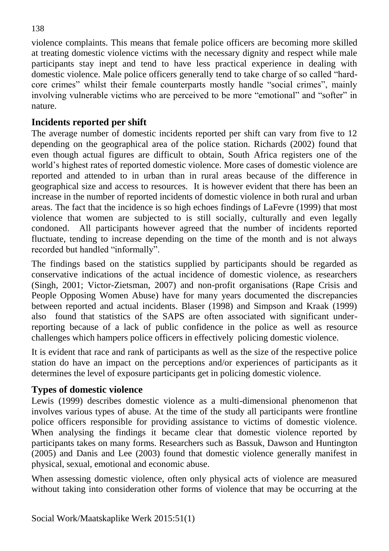violence complaints. This means that female police officers are becoming more skilled at treating domestic violence victims with the necessary dignity and respect while male participants stay inept and tend to have less practical experience in dealing with domestic violence. Male police officers generally tend to take charge of so called "hardcore crimes" whilst their female counterparts mostly handle "social crimes", mainly involving vulnerable victims who are perceived to be more "emotional" and "softer" in nature.

# **Incidents reported per shift**

The average number of domestic incidents reported per shift can vary from five to 12 depending on the geographical area of the police station. Richards (2002) found that even though actual figures are difficult to obtain, South Africa registers one of the world's highest rates of reported domestic violence. More cases of domestic violence are reported and attended to in urban than in rural areas because of the difference in geographical size and access to resources.It is however evident that there has been an increase in the number of reported incidents of domestic violence in both rural and urban areas. The fact that the incidence is so high echoes findings of LaFevre (1999) that most violence that women are subjected to is still socially, culturally and even legally condoned. All participants however agreed that the number of incidents reported fluctuate, tending to increase depending on the time of the month and is not always recorded but handled "informally".

The findings based on the statistics supplied by participants should be regarded as conservative indications of the actual incidence of domestic violence, as researchers (Singh, 2001; Victor-Zietsman, 2007) and non-profit organisations (Rape Crisis and People Opposing Women Abuse) have for many years documented the discrepancies between reported and actual incidents. Blaser (1998) and Simpson and Kraak (1999) also found that statistics of the SAPS are often associated with significant underreporting because of a lack of public confidence in the police as well as resource challenges which hampers police officers in effectively policing domestic violence.

It is evident that race and rank of participants as well as the size of the respective police station do have an impact on the perceptions and/or experiences of participants as it determines the level of exposure participants get in policing domestic violence.

# **Types of domestic violence**

Lewis (1999) describes domestic violence as a multi-dimensional phenomenon that involves various types of abuse. At the time of the study all participants were frontline police officers responsible for providing assistance to victims of domestic violence. When analysing the findings it became clear that domestic violence reported by participants takes on many forms. Researchers such as Bassuk, Dawson and Huntington (2005) and Danis and Lee (2003) found that domestic violence generally manifest in physical, sexual, emotional and economic abuse.

When assessing domestic violence, often only physical acts of violence are measured without taking into consideration other forms of violence that may be occurring at the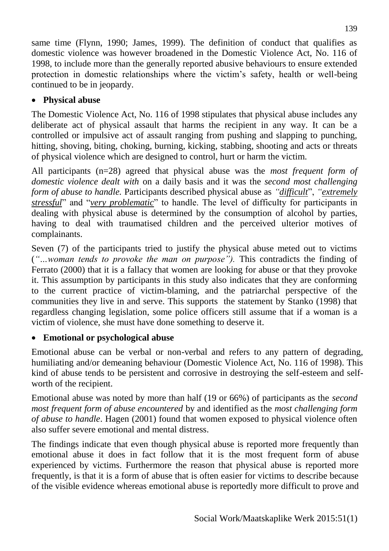same time (Flynn, 1990; James, 1999). The definition of conduct that qualifies as domestic violence was however broadened in the Domestic Violence Act, No. 116 of 1998, to include more than the generally reported abusive behaviours to ensure extended protection in domestic relationships where the victim's safety, health or well-being continued to be in jeopardy.

# **Physical abuse**

The Domestic Violence Act, No. 116 of 1998 stipulates that physical abuse includes any deliberate act of physical assault that harms the recipient in any way. It can be a controlled or impulsive act of assault ranging from pushing and slapping to punching, hitting, shoving, biting, choking, burning, kicking, stabbing, shooting and acts or threats of physical violence which are designed to control, hurt or harm the victim.

All participants (n=28) agreed that physical abuse was the *most frequent form of domestic violence dealt with* on a daily basis and it was the *second most challenging form of abuse to handle.* Participants described physical abuse as *"difficult*", *"extremely stressful*" and "*very problematic*" to handle. The level of difficulty for participants in dealing with physical abuse is determined by the consumption of alcohol by parties, having to deal with traumatised children and the perceived ulterior motives of complainants.

Seven (7) of the participants tried to justify the physical abuse meted out to victims (*"…woman tends to provoke the man on purpose").* This contradicts the finding of Ferrato (2000) that it is a fallacy that women are looking for abuse or that they provoke it. This assumption by participants in this study also indicates that they are conforming to the current practice of victim-blaming, and the patriarchal perspective of the communities they live in and serve. This supports the statement by Stanko (1998) that regardless changing legislation, some police officers still assume that if a woman is a victim of violence, she must have done something to deserve it.

# **Emotional or psychological abuse**

Emotional abuse can be verbal or non-verbal and refers to any pattern of degrading, humiliating and/or demeaning behaviour (Domestic Violence Act, No. 116 of 1998). This kind of abuse tends to be persistent and corrosive in destroying the self-esteem and selfworth of the recipient.

Emotional abuse was noted by more than half (19 or 66%) of participants as the *second most frequent form of abuse encountered* by and identified as the *most challenging form of abuse to handle*. Hagen (2001) found that women exposed to physical violence often also suffer severe emotional and mental distress.

The findings indicate that even though physical abuse is reported more frequently than emotional abuse it does in fact follow that it is the most frequent form of abuse experienced by victims. Furthermore the reason that physical abuse is reported more frequently, is that it is a form of abuse that is often easier for victims to describe because of the visible evidence whereas emotional abuse is reportedly more difficult to prove and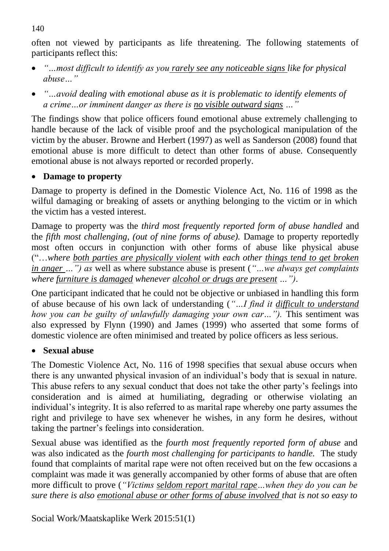often not viewed by participants as life threatening. The following statements of participants reflect this:

- *"…most difficult to identify as you rarely see any noticeable signs like for physical abuse…"*
- *"…avoid dealing with emotional abuse as it is problematic to identify elements of a crime…or imminent danger as there is no visible outward signs …"*

The findings show that police officers found emotional abuse extremely challenging to handle because of the lack of visible proof and the psychological manipulation of the victim by the abuser. Browne and Herbert (1997) as well as Sanderson (2008) found that emotional abuse is more difficult to detect than other forms of abuse. Consequently emotional abuse is not always reported or recorded properly.

### **Damage to property**

Damage to property is defined in the Domestic Violence Act, No. 116 of 1998 as the wilful damaging or breaking of assets or anything belonging to the victim or in which the victim has a vested interest.

Damage to property was the *third most frequently reported form of abuse handled* and the *fifth most challenging, (out of nine forms of abuse).* Damage to property reportedly most often occurs in conjunction with other forms of abuse like physical abuse ("…*where both parties are physically violent with each other things tend to get broken in anger …") as* well as where substance abuse is present (*"…we always get complaints where furniture is damaged whenever alcohol or drugs are present …")*.

One participant indicated that he could not be objective or unbiased in handling this form of abuse because of his own lack of understanding (*"…I find it difficult to understand how you can be guilty of unlawfully damaging your own car...").* This sentiment was also expressed by Flynn (1990) and James (1999) who asserted that some forms of domestic violence are often minimised and treated by police officers as less serious.

# **Sexual abuse**

The Domestic Violence Act, No. 116 of 1998 specifies that sexual abuse occurs when there is any unwanted physical invasion of an individual's body that is sexual in nature. This abuse refers to any sexual conduct that does not take the other party's feelings into consideration and is aimed at humiliating, degrading or otherwise violating an individual's integrity. It is also referred to as marital rape whereby one party assumes the right and privilege to have sex whenever he wishes, in any form he desires, without taking the partner's feelings into consideration.

Sexual abuse was identified as the *fourth most frequently reported form of abuse* and was also indicated as the *fourth most challenging for participants to handle.* The study found that complaints of marital rape were not often received but on the few occasions a complaint was made it was generally accompanied by other forms of abuse that are often more difficult to prove (*"Victims seldom report marital rape…when they do you can be sure there is also emotional abuse or other forms of abuse involved that is not so easy to* 

140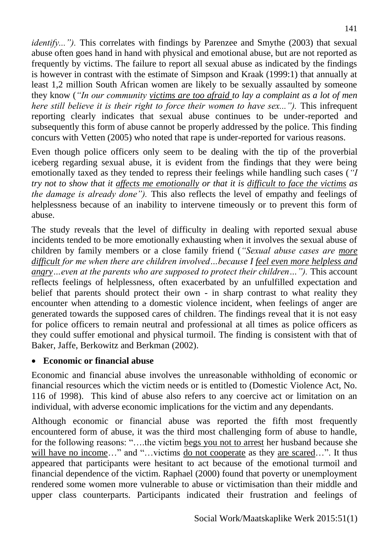*identify..."*). This correlates with findings by Parenzee and Smythe (2003) that sexual abuse often goes hand in hand with physical and emotional abuse, but are not reported as frequently by victims. The failure to report all sexual abuse as indicated by the findings is however in contrast with the estimate of Simpson and Kraak (1999:1) that annually at least 1,2 million South African women are likely to be sexually assaulted by someone they know (*"In our community victims are too afraid to lay a complaint as a lot of men here still believe it is their right to force their women to have sex..."*). This infrequent reporting clearly indicates that sexual abuse continues to be under-reported and subsequently this form of abuse cannot be properly addressed by the police. This finding concurs with Vetten (2005) who noted that rape is under-reported for various reasons.

Even though police officers only seem to be dealing with the tip of the proverbial iceberg regarding sexual abuse, it is evident from the findings that they were being emotionally taxed as they tended to repress their feelings while handling such cases (*"I try not to show that it affects me emotionally or that it is difficult to face the victims as the damage is already done").* This also reflects the level of empathy and feelings of helplessness because of an inability to intervene timeously or to prevent this form of abuse.

The study reveals that the level of difficulty in dealing with reported sexual abuse incidents tended to be more emotionally exhausting when it involves the sexual abuse of children by family members or a close family friend (*"Sexual abuse cases are more difficult for me when there are children involved…because I feel even more helpless and angry*...*even at the parents who are supposed to protect their children...").* This account reflects feelings of helplessness, often exacerbated by an unfulfilled expectation and belief that parents should protect their own - in sharp contrast to what reality they encounter when attending to a domestic violence incident, when feelings of anger are generated towards the supposed cares of children. The findings reveal that it is not easy for police officers to remain neutral and professional at all times as police officers as they could suffer emotional and physical turmoil. The finding is consistent with that of Baker, Jaffe, Berkowitz and Berkman (2002).

### **Economic or financial abuse**

Economic and financial abuse involves the unreasonable withholding of economic or financial resources which the victim needs or is entitled to (Domestic Violence Act, No. 116 of 1998). This kind of abuse also refers to any coercive act or limitation on an individual, with adverse economic implications for the victim and any dependants.

Although economic or financial abuse was reported the fifth most frequently encountered form of abuse, it was the third most challenging form of abuse to handle, for the following reasons: "….the victim begs you not to arrest her husband because she will have no income..." and "...victims do not cooperate as they are scared...". It thus appeared that participants were hesitant to act because of the emotional turmoil and financial dependence of the victim. Raphael (2000) found that poverty or unemployment rendered some women more vulnerable to abuse or victimisation than their middle and upper class counterparts. Participants indicated their frustration and feelings of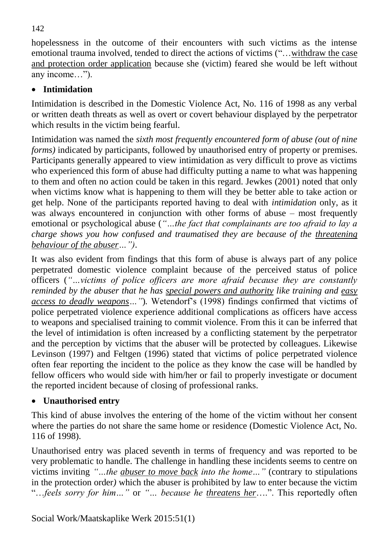hopelessness in the outcome of their encounters with such victims as the intense emotional trauma involved, tended to direct the actions of victims ("…withdraw the case and protection order application because she (victim) feared she would be left without any income…").

# **Intimidation**

Intimidation is described in the Domestic Violence Act, No. 116 of 1998 as any verbal or written death threats as well as overt or covert behaviour displayed by the perpetrator which results in the victim being fearful.

Intimidation was named the *sixth most frequently encountered form of abuse (out of nine forms*) indicated by participants, followed by unauthorised entry of property or premises. Participants generally appeared to view intimidation as very difficult to prove as victims who experienced this form of abuse had difficulty putting a name to what was happening to them and often no action could be taken in this regard. Jewkes (2001) noted that only when victims know what is happening to them will they be better able to take action or get help. None of the participants reported having to deal with *intimidation* only, as it was always encountered in conjunction with other forms of abuse – most frequently emotional or psychological abuse (*"…the fact that complainants are too afraid to lay a charge shows you how confused and traumatised they are because of the threatening behaviour of the abuser…")*.

It was also evident from findings that this form of abuse is always part of any police perpetrated domestic violence complaint because of the perceived status of police officers (*"…victims of police officers are more afraid because they are constantly reminded by the abuser that he has special powers and authority like training and easy access to deadly weapons…"*)*.* Wetendorf's (1998) findings confirmed that victims of police perpetrated violence experience additional complications as officers have access to weapons and specialised training to commit violence. From this it can be inferred that the level of intimidation is often increased by a conflicting statement by the perpetrator and the perception by victims that the abuser will be protected by colleagues. Likewise Levinson (1997) and Feltgen (1996) stated that victims of police perpetrated violence often fear reporting the incident to the police as they know the case will be handled by fellow officers who would side with him/her or fail to properly investigate or document the reported incident because of closing of professional ranks.

# **Unauthorised entry**

This kind of abuse involves the entering of the home of the victim without her consent where the parties do not share the same home or residence (Domestic Violence Act, No. 116 of 1998).

Unauthorised entry was placed seventh in terms of frequency and was reported to be very problematic to handle. The challenge in handling these incidents seems to centre on victims inviting *"…the abuser to move back into the home…"* (contrary to stipulations in the protection order*)* which the abuser is prohibited by law to enter because the victim "…*feels sorry for him…"* or *"… because he threatens her*….". This reportedly often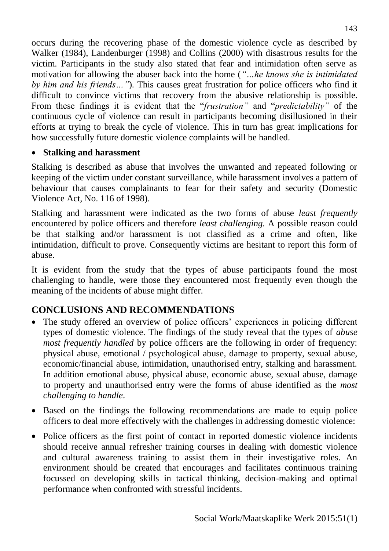occurs during the recovering phase of the domestic violence cycle as described by Walker (1984), Landenburger (1998) and Collins (2000) with disastrous results for the victim. Participants in the study also stated that fear and intimidation often serve as motivation for allowing the abuser back into the home (*"…he knows she is intimidated by him and his friends…"*)*.* This causes great frustration for police officers who find it difficult to convince victims that recovery from the abusive relationship is possible. From these findings it is evident that the "*frustration"* and "*predictability"* of the continuous cycle of violence can result in participants becoming disillusioned in their efforts at trying to break the cycle of violence. This in turn has great implications for how successfully future domestic violence complaints will be handled.

### **Stalking and harassment**

Stalking is described as abuse that involves the unwanted and repeated following or keeping of the victim under constant surveillance, while harassment involves a pattern of behaviour that causes complainants to fear for their safety and security (Domestic Violence Act, No. 116 of 1998).

Stalking and harassment were indicated as the two forms of abuse *least frequently* encountered by police officers and therefore *least challenging.* A possible reason could be that stalking and/or harassment is not classified as a crime and often, like intimidation, difficult to prove. Consequently victims are hesitant to report this form of abuse.

It is evident from the study that the types of abuse participants found the most challenging to handle, were those they encountered most frequently even though the meaning of the incidents of abuse might differ.

# **CONCLUSIONS AND RECOMMENDATIONS**

- The study offered an overview of police officers' experiences in policing different types of domestic violence. The findings of the study reveal that the types of *abuse most frequently handled* by police officers are the following in order of frequency: physical abuse, emotional / psychological abuse, damage to property, sexual abuse, economic/financial abuse, intimidation, unauthorised entry, stalking and harassment. In addition emotional abuse, physical abuse, economic abuse, sexual abuse, damage to property and unauthorised entry were the forms of abuse identified as the *most challenging to handle*.
- Based on the findings the following recommendations are made to equip police officers to deal more effectively with the challenges in addressing domestic violence:
- Police officers as the first point of contact in reported domestic violence incidents should receive annual refresher training courses in dealing with domestic violence and cultural awareness training to assist them in their investigative roles. An environment should be created that encourages and facilitates continuous training focussed on developing skills in tactical thinking, decision-making and optimal performance when confronted with stressful incidents.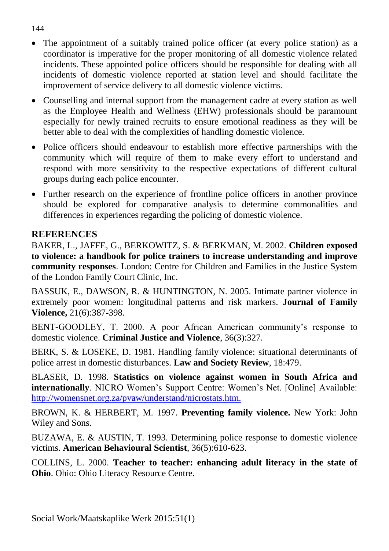- The appointment of a suitably trained police officer (at every police station) as a coordinator is imperative for the proper monitoring of all domestic violence related incidents. These appointed police officers should be responsible for dealing with all incidents of domestic violence reported at station level and should facilitate the improvement of service delivery to all domestic violence victims.
- Counselling and internal support from the management cadre at every station as well as the Employee Health and Wellness (EHW) professionals should be paramount especially for newly trained recruits to ensure emotional readiness as they will be better able to deal with the complexities of handling domestic violence.
- Police officers should endeavour to establish more effective partnerships with the community which will require of them to make every effort to understand and respond with more sensitivity to the respective expectations of different cultural groups during each police encounter.
- Further research on the experience of frontline police officers in another province should be explored for comparative analysis to determine commonalities and differences in experiences regarding the policing of domestic violence.

### **REFERENCES**

BAKER, L., JAFFE, G., BERKOWITZ, S. & BERKMAN, M. 2002. **Children exposed to violence: a handbook for police trainers to increase understanding and improve community responses**. London: Centre for Children and Families in the Justice System of the London Family Court Clinic, Inc.

BASSUK, E., DAWSON, R. & HUNTINGTON, N. 2005. Intimate partner violence in extremely poor women: longitudinal patterns and risk markers. **Journal of Family Violence,** 21(6):387-398.

BENT-GOODLEY, T. 2000. A poor African American community's response to domestic violence. **Criminal Justice and Violence**, 36(3):327.

BERK, S. & LOSEKE, D. 1981. Handling family violence: situational determinants of police arrest in domestic disturbances. **Law and Society Review**, 18:479.

BLASER, D. 1998. **Statistics on violence against women in South Africa and internationally**. NICRO Women's Support Centre: Women's Net. [Online] Available: <http://womensnet.org.za/pvaw/understand/nicrostats.htm.>

BROWN, K. & HERBERT, M. 1997. **Preventing family violence.** New York: John Wiley and Sons.

BUZAWA, E. & AUSTIN, T. 1993. Determining police response to domestic violence victims. **American Behavioural Scientist**, 36(5):610-623.

COLLINS, L. 2000. **Teacher to teacher: enhancing adult literacy in the state of Ohio**. Ohio: Ohio Literacy Resource Centre.

#### 144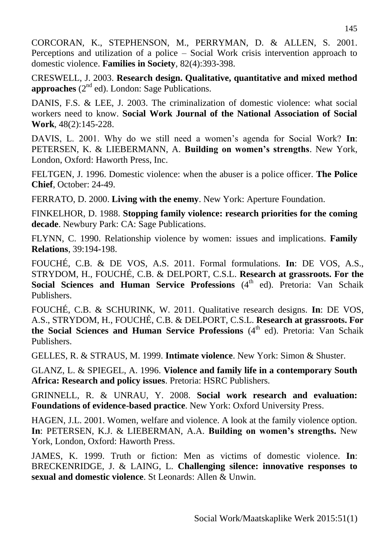CORCORAN, K., STEPHENSON, M., PERRYMAN, D. & ALLEN, S. 2001. Perceptions and utilization of a police – Social Work crisis intervention approach to domestic violence. **Families in Society**, 82(4):393-398.

CRESWELL, J. 2003. **Research design. Qualitative, quantitative and mixed method**  approaches (2<sup>nd</sup> ed). London: Sage Publications.

DANIS, F.S. & LEE, J. 2003. The criminalization of domestic violence: what social workers need to know. **Social Work Journal of the National Association of Social Work**, 48(2):145-228.

DAVIS, L. 2001. Why do we still need a women's agenda for Social Work? **In**: PETERSEN, K. & LIEBERMANN, A. **Building on women's strengths**. New York, London, Oxford: Haworth Press, Inc.

FELTGEN, J. 1996. Domestic violence: when the abuser is a police officer. **The Police Chief**, October: 24-49.

FERRATO, D. 2000. **Living with the enemy**. New York: Aperture Foundation.

FINKELHOR, D. 1988. **Stopping family violence: research priorities for the coming decade**. Newbury Park: CA: Sage Publications.

FLYNN, C. 1990. Relationship violence by women: issues and implications. **Family Relations**, 39:194-198.

FOUCHÉ, C.B. & DE VOS, A.S. 2011. Formal formulations. **In**: DE VOS, A.S., STRYDOM, H., FOUCHÉ, C.B. & DELPORT, C.S.L. **Research at grassroots. For the Social Sciences and Human Service Professions** (4<sup>th</sup> ed). Pretoria: Van Schaik Publishers.

FOUCHÉ, C.B. & SCHURINK, W. 2011. Qualitative research designs. **In**: DE VOS, A.S., STRYDOM, H., FOUCHÉ, C.B. & DELPORT, C.S.L. **Research at grassroots. For**  the Social Sciences and Human Service Professions (4<sup>th</sup> ed). Pretoria: Van Schaik Publishers.

GELLES, R. & STRAUS, M. 1999. **Intimate violence**. New York: Simon & Shuster.

GLANZ, L. & SPIEGEL, A. 1996. **Violence and family life in a contemporary South Africa: Research and policy issues**. Pretoria: HSRC Publishers.

GRINNELL, R. & UNRAU, Y. 2008. **Social work research and evaluation: Foundations of evidence-based practice**. New York: Oxford University Press.

HAGEN, J.L. 2001. Women, welfare and violence. A look at the family violence option. **In**: PETERSEN, K.J. & LIEBERMAN, A.A. **Building on women's strengths.** New York, London, Oxford: Haworth Press.

JAMES, K. 1999. Truth or fiction: Men as victims of domestic violence. **In**: BRECKENRIDGE, J. & LAING, L. **Challenging silence: innovative responses to sexual and domestic violence**. St Leonards: Allen & Unwin.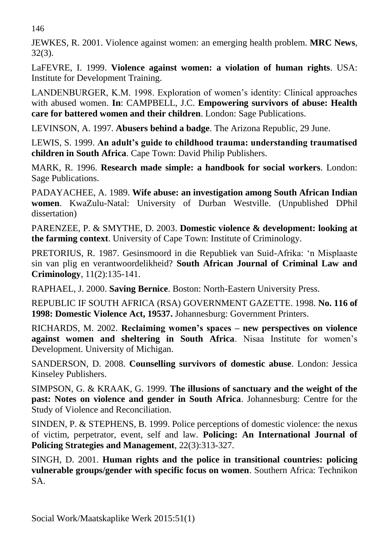146

JEWKES, R. 2001. Violence against women: an emerging health problem. **MRC News**, 32(3).

LaFEVRE, I. 1999. **Violence against women: a violation of human rights**. USA: Institute for Development Training.

LANDENBURGER, K.M. 1998. Exploration of women's identity: Clinical approaches with abused women. **In**: CAMPBELL, J.C. **Empowering survivors of abuse: Health care for battered women and their children**. London: Sage Publications.

LEVINSON, A. 1997. **Abusers behind a badge**. The Arizona Republic, 29 June.

LEWIS, S. 1999. **An adult's guide to childhood trauma: understanding traumatised children in South Africa**. Cape Town: David Philip Publishers.

MARK, R. 1996. **Research made simple: a handbook for social workers**. London: Sage Publications.

PADAYACHEE, A. 1989. **Wife abuse: an investigation among South African Indian women**. KwaZulu-Natal: University of Durban Westville. (Unpublished DPhil dissertation)

PARENZEE, P. & SMYTHE, D. 2003. **Domestic violence & development: looking at the farming context**. University of Cape Town: Institute of Criminology.

PRETORIUS, R. 1987. Gesinsmoord in die Republiek van Suid-Afrika: 'n Misplaaste sin van plig en verantwoordelikheid? **South African Journal of Criminal Law and Criminology**, 11(2):135-141.

RAPHAEL, J. 2000. **Saving Bernice**. Boston: North-Eastern University Press.

REPUBLIC IF SOUTH AFRICA (RSA) GOVERNMENT GAZETTE. 1998. **No. 116 of 1998: Domestic Violence Act, 19537.** Johannesburg: Government Printers.

RICHARDS, M. 2002. **Reclaiming women's spaces – new perspectives on violence against women and sheltering in South Africa**. Nisaa Institute for women's Development. University of Michigan.

SANDERSON, D. 2008. **Counselling survivors of domestic abuse**. London: Jessica Kinseley Publishers.

SIMPSON, G. & KRAAK, G. 1999. **The illusions of sanctuary and the weight of the past: Notes on violence and gender in South Africa**. Johannesburg: Centre for the Study of Violence and Reconciliation.

SINDEN, P. & STEPHENS, B. 1999. Police perceptions of domestic violence: the nexus of victim, perpetrator, event, self and law. **Policing: An International Journal of Policing Strategies and Management**, 22(3):313-327.

SINGH, D. 2001. **Human rights and the police in transitional countries: policing vulnerable groups/gender with specific focus on women**. Southern Africa: Technikon SA.